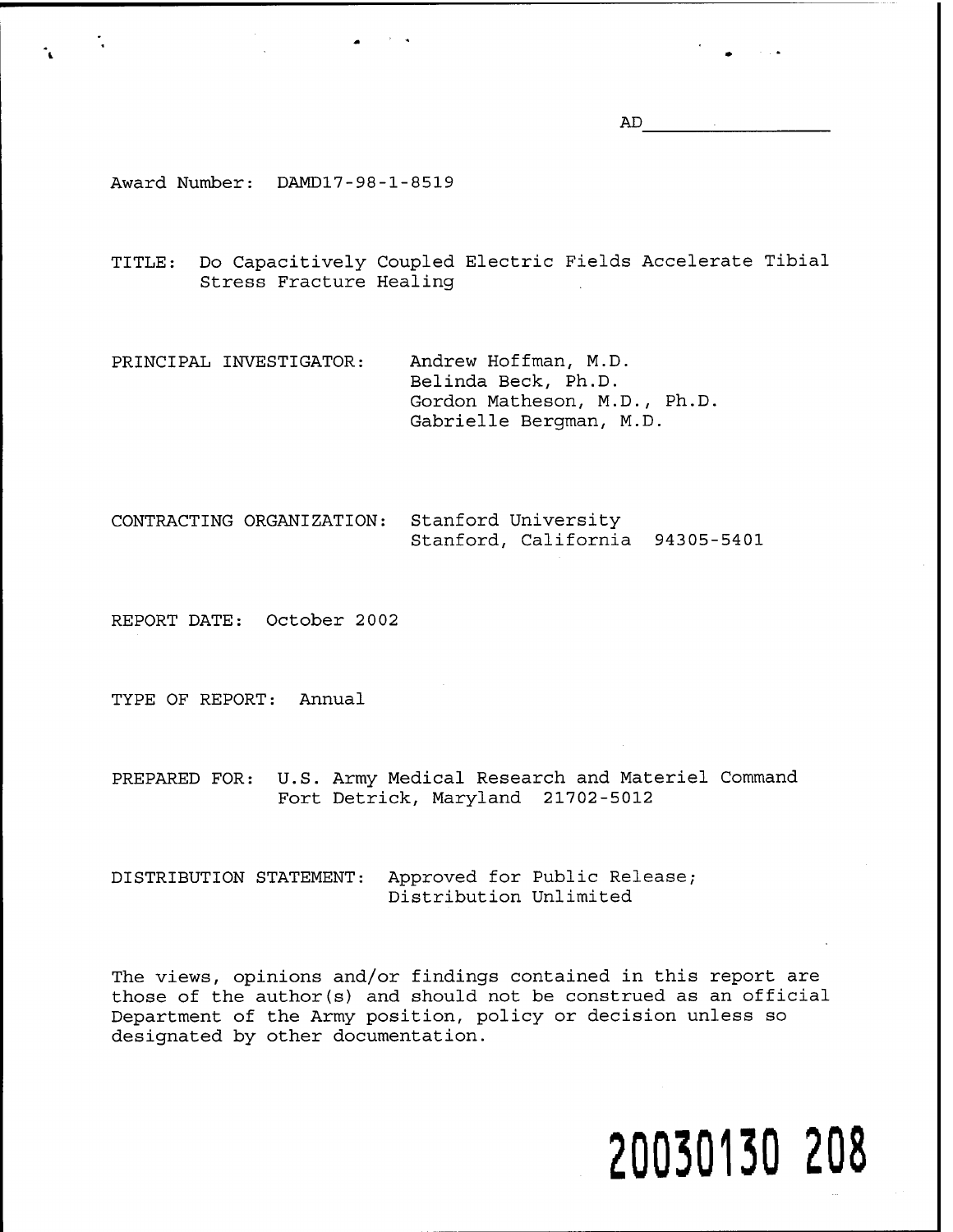AD

Award Number: DAMD17-98-1-8519

TITLE: Do Capacitively Coupled Electric Fields Accelerate Tibial Stress Fracture Healing

PRINCIPAL INVESTIGATOR: Andrew Hoffman, M.D. Belinda Beck, Ph.D. Gordon Matheson, M.D., Ph.D. Gabrielle Bergman, M.D.

CONTRACTING ORGANIZATION: Stanford University Stanford, California 94305-5401

REPORT DATE: October 2002

TYPE OF REPORT: Annual

PREPARED FOR: U.S. Army Medical Research and Materiel Command Fort Detrick, Maryland 21702-5012

DISTRIBUTION STATEMENT: Approved for Public Release; Distribution Unlimited

The views, opinions and/or findings contained in this report are those of the author(s) and should not be construed as an official Department of the Army position, policy or decision unless so designated by other documentation.

# **20030130 208**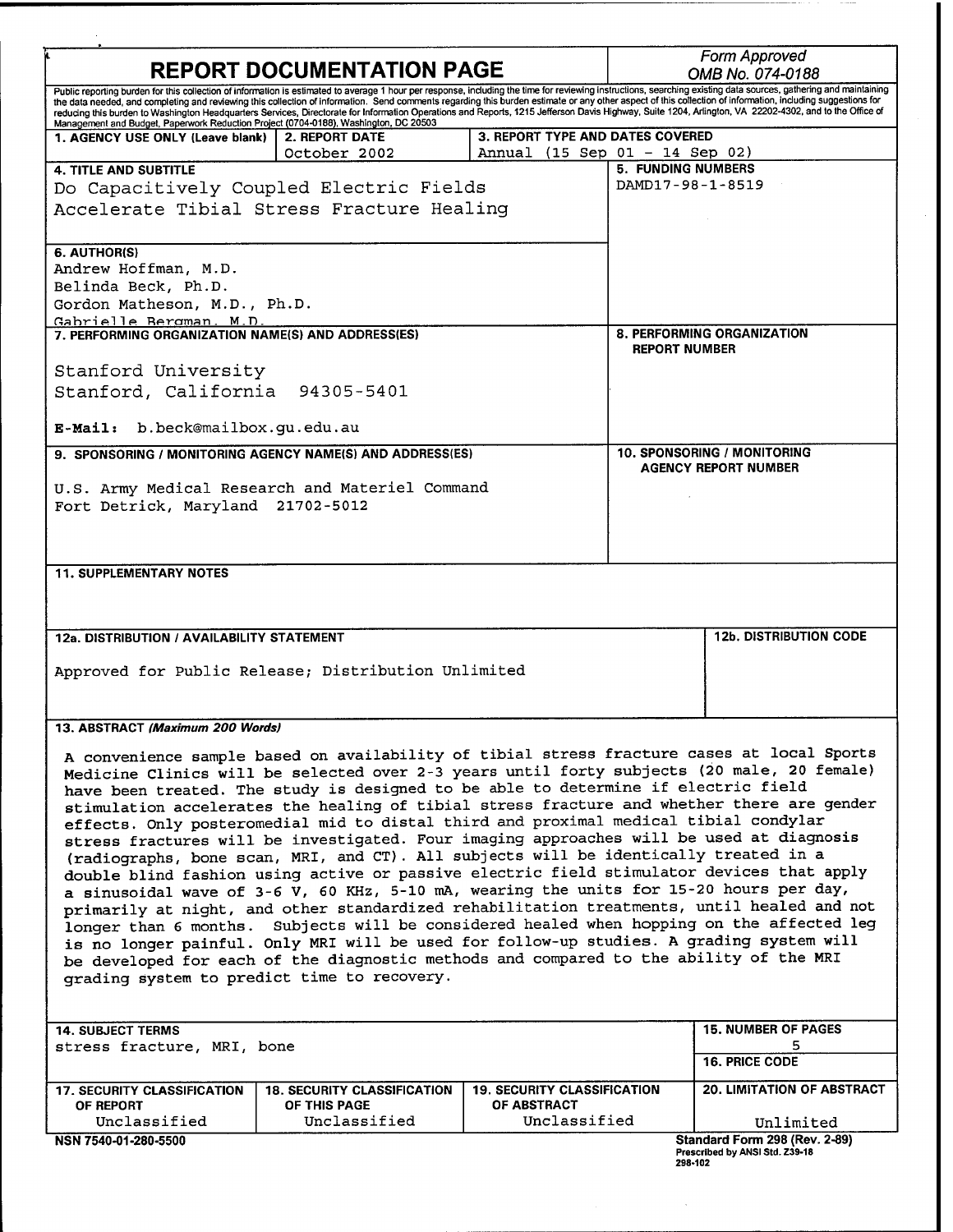| <b>REPORT DOCUMENTATION PAGE</b>                                                                                                                                                                                                                                                                                                                                                                                                                                                                                                                                                                                                                                                                                                   |                                                                                                                                                                                                                                                                                                                                                                                                                                                                                                                                                                                                                                                                                                                                                                                                                                                                                                                                                                                                                                                                                                                                                                                                                                   |                                    | Form Approved<br>OMB No. 074-0188                          |                                                                 |  |
|------------------------------------------------------------------------------------------------------------------------------------------------------------------------------------------------------------------------------------------------------------------------------------------------------------------------------------------------------------------------------------------------------------------------------------------------------------------------------------------------------------------------------------------------------------------------------------------------------------------------------------------------------------------------------------------------------------------------------------|-----------------------------------------------------------------------------------------------------------------------------------------------------------------------------------------------------------------------------------------------------------------------------------------------------------------------------------------------------------------------------------------------------------------------------------------------------------------------------------------------------------------------------------------------------------------------------------------------------------------------------------------------------------------------------------------------------------------------------------------------------------------------------------------------------------------------------------------------------------------------------------------------------------------------------------------------------------------------------------------------------------------------------------------------------------------------------------------------------------------------------------------------------------------------------------------------------------------------------------|------------------------------------|------------------------------------------------------------|-----------------------------------------------------------------|--|
| Public reporting burden for this collection of information is estimated to average 1 hour per response, including the time for reviewing instructions, searching existing data sources, gathering and maintaining<br>the data needed, and completing and reviewing this collection of information. Send comments regarding this burden estimate or any other aspect of this collection of information, including suggestions for<br>reducing this burden to Washington Headquarters Services, Directorate for Information Operations and Reports, 1215 Jefferson Davis Highway, Suite 1204, Arlington, VA 22202-4302, and to the Office of<br>Management and Budget, Paperwork Reduction Project (0704-0188), Washington, DC 20503 |                                                                                                                                                                                                                                                                                                                                                                                                                                                                                                                                                                                                                                                                                                                                                                                                                                                                                                                                                                                                                                                                                                                                                                                                                                   |                                    |                                                            |                                                                 |  |
| 1. AGENCY USE ONLY (Leave blank)                                                                                                                                                                                                                                                                                                                                                                                                                                                                                                                                                                                                                                                                                                   | <b>2. REPORT DATE</b>                                                                                                                                                                                                                                                                                                                                                                                                                                                                                                                                                                                                                                                                                                                                                                                                                                                                                                                                                                                                                                                                                                                                                                                                             | 3. REPORT TYPE AND DATES COVERED   |                                                            |                                                                 |  |
| <b>4. TITLE AND SUBTITLE</b>                                                                                                                                                                                                                                                                                                                                                                                                                                                                                                                                                                                                                                                                                                       | October 2002                                                                                                                                                                                                                                                                                                                                                                                                                                                                                                                                                                                                                                                                                                                                                                                                                                                                                                                                                                                                                                                                                                                                                                                                                      | Annual (15 Sep 01 - 14 Sep 02)     | <b>5. FUNDING NUMBERS</b>                                  |                                                                 |  |
| Do Capacitively Coupled Electric Fields                                                                                                                                                                                                                                                                                                                                                                                                                                                                                                                                                                                                                                                                                            |                                                                                                                                                                                                                                                                                                                                                                                                                                                                                                                                                                                                                                                                                                                                                                                                                                                                                                                                                                                                                                                                                                                                                                                                                                   |                                    | DAMD17-98-1-8519                                           |                                                                 |  |
| Accelerate Tibial Stress Fracture Healing                                                                                                                                                                                                                                                                                                                                                                                                                                                                                                                                                                                                                                                                                          |                                                                                                                                                                                                                                                                                                                                                                                                                                                                                                                                                                                                                                                                                                                                                                                                                                                                                                                                                                                                                                                                                                                                                                                                                                   |                                    |                                                            |                                                                 |  |
| 6. AUTHOR(S)<br>Andrew Hoffman, M.D.                                                                                                                                                                                                                                                                                                                                                                                                                                                                                                                                                                                                                                                                                               |                                                                                                                                                                                                                                                                                                                                                                                                                                                                                                                                                                                                                                                                                                                                                                                                                                                                                                                                                                                                                                                                                                                                                                                                                                   |                                    |                                                            |                                                                 |  |
| Belinda Beck, Ph.D.<br>Gordon Matheson, M.D., Ph.D.                                                                                                                                                                                                                                                                                                                                                                                                                                                                                                                                                                                                                                                                                |                                                                                                                                                                                                                                                                                                                                                                                                                                                                                                                                                                                                                                                                                                                                                                                                                                                                                                                                                                                                                                                                                                                                                                                                                                   |                                    |                                                            |                                                                 |  |
| Gabrielle Bergman. M.D.                                                                                                                                                                                                                                                                                                                                                                                                                                                                                                                                                                                                                                                                                                            |                                                                                                                                                                                                                                                                                                                                                                                                                                                                                                                                                                                                                                                                                                                                                                                                                                                                                                                                                                                                                                                                                                                                                                                                                                   |                                    |                                                            |                                                                 |  |
| 7. PERFORMING ORGANIZATION NAME(S) AND ADDRESS(ES)                                                                                                                                                                                                                                                                                                                                                                                                                                                                                                                                                                                                                                                                                 |                                                                                                                                                                                                                                                                                                                                                                                                                                                                                                                                                                                                                                                                                                                                                                                                                                                                                                                                                                                                                                                                                                                                                                                                                                   |                                    |                                                            | 8. PERFORMING ORGANIZATION<br><b>REPORT NUMBER</b>              |  |
| Stanford University<br>Stanford, California 94305-5401                                                                                                                                                                                                                                                                                                                                                                                                                                                                                                                                                                                                                                                                             |                                                                                                                                                                                                                                                                                                                                                                                                                                                                                                                                                                                                                                                                                                                                                                                                                                                                                                                                                                                                                                                                                                                                                                                                                                   |                                    |                                                            |                                                                 |  |
|                                                                                                                                                                                                                                                                                                                                                                                                                                                                                                                                                                                                                                                                                                                                    |                                                                                                                                                                                                                                                                                                                                                                                                                                                                                                                                                                                                                                                                                                                                                                                                                                                                                                                                                                                                                                                                                                                                                                                                                                   |                                    |                                                            |                                                                 |  |
| E-Mail: b.beck@mailbox.gu.edu.au                                                                                                                                                                                                                                                                                                                                                                                                                                                                                                                                                                                                                                                                                                   |                                                                                                                                                                                                                                                                                                                                                                                                                                                                                                                                                                                                                                                                                                                                                                                                                                                                                                                                                                                                                                                                                                                                                                                                                                   |                                    |                                                            |                                                                 |  |
| 9. SPONSORING / MONITORING AGENCY NAME(S) AND ADDRESS(ES)                                                                                                                                                                                                                                                                                                                                                                                                                                                                                                                                                                                                                                                                          |                                                                                                                                                                                                                                                                                                                                                                                                                                                                                                                                                                                                                                                                                                                                                                                                                                                                                                                                                                                                                                                                                                                                                                                                                                   |                                    | 10. SPONSORING / MONITORING<br><b>AGENCY REPORT NUMBER</b> |                                                                 |  |
| U.S. Army Medical Research and Materiel Command<br>Fort Detrick, Maryland 21702-5012                                                                                                                                                                                                                                                                                                                                                                                                                                                                                                                                                                                                                                               |                                                                                                                                                                                                                                                                                                                                                                                                                                                                                                                                                                                                                                                                                                                                                                                                                                                                                                                                                                                                                                                                                                                                                                                                                                   |                                    |                                                            |                                                                 |  |
|                                                                                                                                                                                                                                                                                                                                                                                                                                                                                                                                                                                                                                                                                                                                    |                                                                                                                                                                                                                                                                                                                                                                                                                                                                                                                                                                                                                                                                                                                                                                                                                                                                                                                                                                                                                                                                                                                                                                                                                                   |                                    |                                                            |                                                                 |  |
|                                                                                                                                                                                                                                                                                                                                                                                                                                                                                                                                                                                                                                                                                                                                    |                                                                                                                                                                                                                                                                                                                                                                                                                                                                                                                                                                                                                                                                                                                                                                                                                                                                                                                                                                                                                                                                                                                                                                                                                                   |                                    |                                                            |                                                                 |  |
| <b>11. SUPPLEMENTARY NOTES</b>                                                                                                                                                                                                                                                                                                                                                                                                                                                                                                                                                                                                                                                                                                     |                                                                                                                                                                                                                                                                                                                                                                                                                                                                                                                                                                                                                                                                                                                                                                                                                                                                                                                                                                                                                                                                                                                                                                                                                                   |                                    |                                                            |                                                                 |  |
| 12a. DISTRIBUTION / AVAILABILITY STATEMENT                                                                                                                                                                                                                                                                                                                                                                                                                                                                                                                                                                                                                                                                                         |                                                                                                                                                                                                                                                                                                                                                                                                                                                                                                                                                                                                                                                                                                                                                                                                                                                                                                                                                                                                                                                                                                                                                                                                                                   |                                    |                                                            | <b>12b. DISTRIBUTION CODE</b>                                   |  |
| Approved for Public Release; Distribution Unlimited                                                                                                                                                                                                                                                                                                                                                                                                                                                                                                                                                                                                                                                                                |                                                                                                                                                                                                                                                                                                                                                                                                                                                                                                                                                                                                                                                                                                                                                                                                                                                                                                                                                                                                                                                                                                                                                                                                                                   |                                    |                                                            |                                                                 |  |
| 13. ABSTRACT (Maximum 200 Words)                                                                                                                                                                                                                                                                                                                                                                                                                                                                                                                                                                                                                                                                                                   |                                                                                                                                                                                                                                                                                                                                                                                                                                                                                                                                                                                                                                                                                                                                                                                                                                                                                                                                                                                                                                                                                                                                                                                                                                   |                                    |                                                            |                                                                 |  |
| grading system to predict time to recovery.                                                                                                                                                                                                                                                                                                                                                                                                                                                                                                                                                                                                                                                                                        | A convenience sample based on availability of tibial stress fracture cases at local Sports<br>Medicine Clinics will be selected over 2-3 years until forty subjects (20 male, 20 female)<br>have been treated. The study is designed to be able to determine if electric field<br>stimulation accelerates the healing of tibial stress fracture and whether there are gender<br>effects. Only posteromedial mid to distal third and proximal medical tibial condylar<br>stress fractures will be investigated. Four imaging approaches will be used at diagnosis<br>(radiographs, bone scan, MRI, and CT). All subjects will be identically treated in a<br>double blind fashion using active or passive electric field stimulator devices that apply<br>a sinusoidal wave of 3-6 V, 60 KHz, 5-10 mA, wearing the units for 15-20 hours per day,<br>primarily at night, and other standardized rehabilitation treatments, until healed and not<br>longer than 6 months. Subjects will be considered healed when hopping on the affected leg<br>is no longer painful. Only MRI will be used for follow-up studies. A grading system will<br>be developed for each of the diagnostic methods and compared to the ability of the MRI |                                    |                                                            |                                                                 |  |
| <b>14. SUBJECT TERMS</b>                                                                                                                                                                                                                                                                                                                                                                                                                                                                                                                                                                                                                                                                                                           |                                                                                                                                                                                                                                                                                                                                                                                                                                                                                                                                                                                                                                                                                                                                                                                                                                                                                                                                                                                                                                                                                                                                                                                                                                   |                                    |                                                            | <b>15. NUMBER OF PAGES</b>                                      |  |
| stress fracture, MRI, bone                                                                                                                                                                                                                                                                                                                                                                                                                                                                                                                                                                                                                                                                                                         |                                                                                                                                                                                                                                                                                                                                                                                                                                                                                                                                                                                                                                                                                                                                                                                                                                                                                                                                                                                                                                                                                                                                                                                                                                   |                                    |                                                            | 5<br><b>16. PRICE CODE</b>                                      |  |
| <b>17. SECURITY CLASSIFICATION</b>                                                                                                                                                                                                                                                                                                                                                                                                                                                                                                                                                                                                                                                                                                 | <b>18. SECURITY CLASSIFICATION</b>                                                                                                                                                                                                                                                                                                                                                                                                                                                                                                                                                                                                                                                                                                                                                                                                                                                                                                                                                                                                                                                                                                                                                                                                | <b>19. SECURITY CLASSIFICATION</b> |                                                            | <b>20. LIMITATION OF ABSTRACT</b>                               |  |
| OF REPORT<br>Unclassified                                                                                                                                                                                                                                                                                                                                                                                                                                                                                                                                                                                                                                                                                                          | OF THIS PAGE<br>Unclassified                                                                                                                                                                                                                                                                                                                                                                                                                                                                                                                                                                                                                                                                                                                                                                                                                                                                                                                                                                                                                                                                                                                                                                                                      | OF ABSTRACT<br>Unclassified        |                                                            | Unlimited                                                       |  |
| NSN 7540-01-280-5500                                                                                                                                                                                                                                                                                                                                                                                                                                                                                                                                                                                                                                                                                                               |                                                                                                                                                                                                                                                                                                                                                                                                                                                                                                                                                                                                                                                                                                                                                                                                                                                                                                                                                                                                                                                                                                                                                                                                                                   |                                    | 298-102                                                    | Standard Form 298 (Rev. 2-89)<br>Prescribed by ANSI Std. Z39-18 |  |

 $\sim$   $\sim$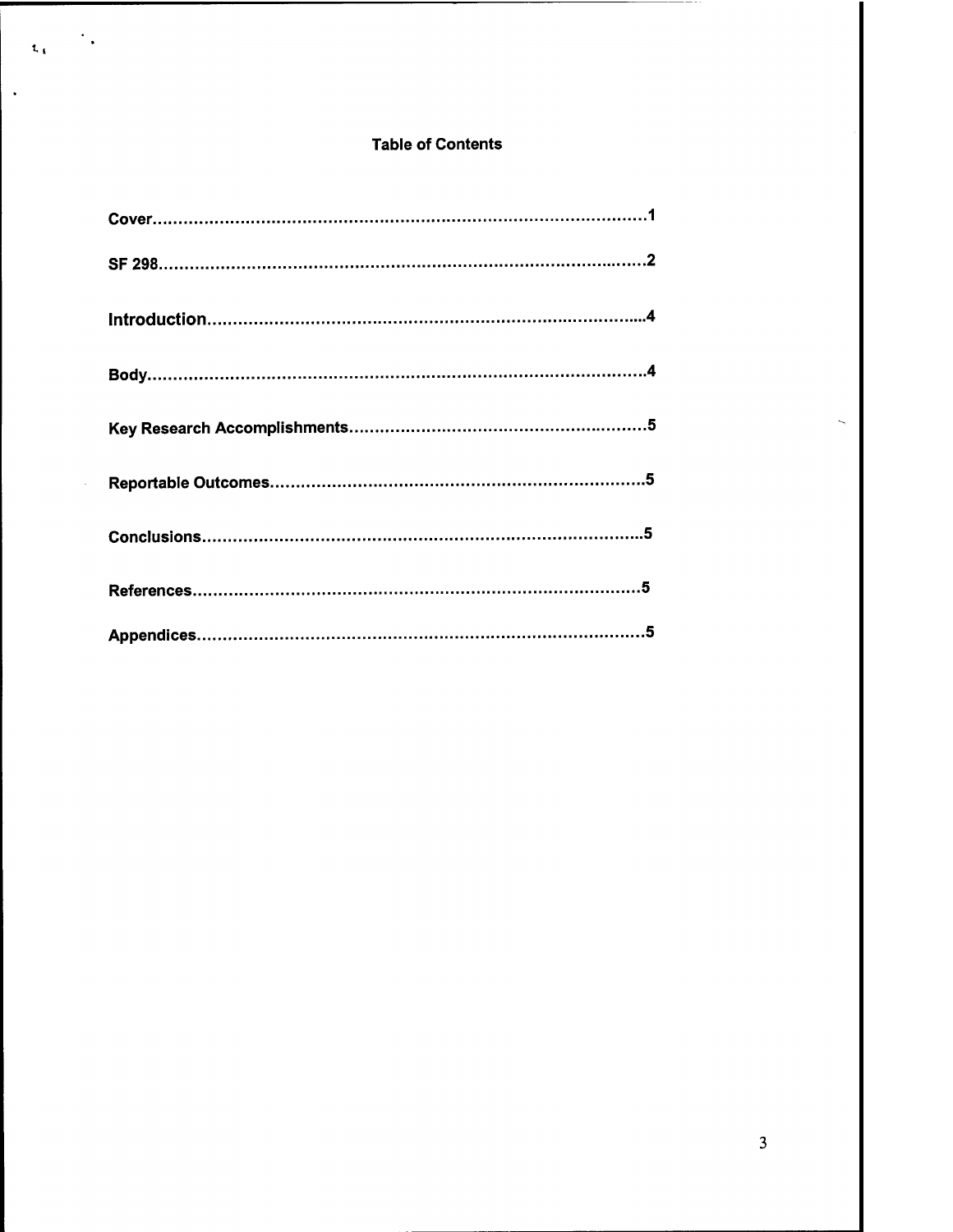## **Table of Contents**

 $\begin{array}{ccccc} & & & \ddots & \\ & & & & \ddots \end{array}$ 

 $\ddot{\phantom{a}}$ 

 $\ddot{\phantom{1}}$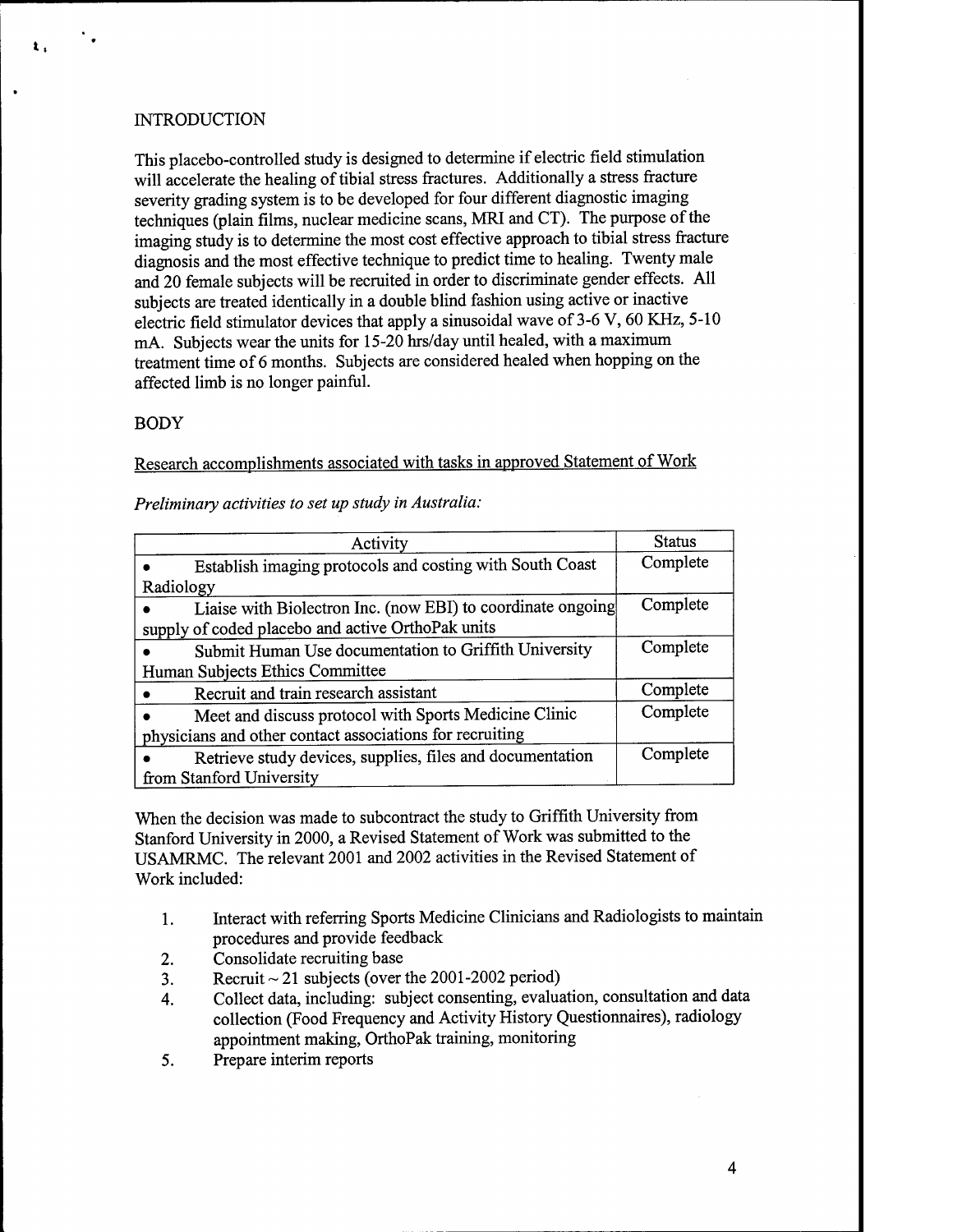# **INTRODUCTION**

**t.**

This placebo-controlled study is designed to determine if electric field stimulation will accelerate the healing of tibial stress fractures. Additionally a stress fracture severity grading system is to be developed for four different diagnostic imaging techniques (plain films, nuclear medicine scans, MRI and CT). The purpose of the imaging study is to determine the most cost effective approach to tibial stress fracture diagnosis and the most effective technique to predict time to healing. Twenty male and 20 female subjects will be recruited in order to discriminate gender effects. All subjects are treated identically in a double blind fashion using active or inactive electric field stimulator devices that apply a sinusoidal wave of 3-6 V, 60 KHz, 5-10 mA. Subjects wear the units for 15-20 hrs/day until healed, with a maximum treatment time of 6 months. Subjects are considered healed when hopping on the affected limb is no longer painful.

# BODY

Research accomplishments associated with tasks in approved Statement of Work

*Preliminary activities to set up study in Australia:*

| Activity                                                                                                         | <b>Status</b> |
|------------------------------------------------------------------------------------------------------------------|---------------|
| Establish imaging protocols and costing with South Coast                                                         | Complete      |
| Radiology                                                                                                        |               |
| Liaise with Biolectron Inc. (now EBI) to coordinate ongoing<br>supply of coded placebo and active OrthoPak units | Complete      |
| Submit Human Use documentation to Griffith University                                                            | Complete      |
| Human Subjects Ethics Committee                                                                                  |               |
| Recruit and train research assistant                                                                             | Complete      |
| Meet and discuss protocol with Sports Medicine Clinic                                                            | Complete      |
| physicians and other contact associations for recruiting                                                         |               |
| Retrieve study devices, supplies, files and documentation                                                        | Complete      |
| from Stanford University                                                                                         |               |

When the decision was made to subcontract the study to Griffith University from Stanford University in 2000, a Revised Statement of Work was submitted to the USAMRMC. The relevant 2001 and 2002 activities in the Revised Statement of Work included:

- 1. Interact with referring Sports Medicine Clinicians and Radiologists to maintain procedures and provide feedback
- 2. Consolidate recruiting base
- 3. Recruit  $\sim$  21 subjects (over the 2001-2002 period)
- 4. Collect data, including: subject consenting, evaluation, consultation and data collection (Food Frequency and Activity History Questionnaires), radiology appointment making, OrthoPak training, monitoring
- 5. Prepare interim reports